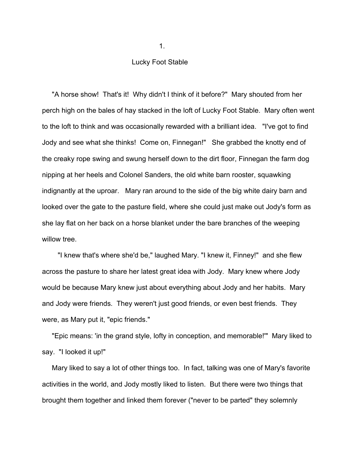## Lucky Foot Stable

 "A horse show! That's it! Why didn't I think of it before?" Mary shouted from her perch high on the bales of hay stacked in the loft of Lucky Foot Stable. Mary often went to the loft to think and was occasionally rewarded with a brilliant idea. "I've got to find Jody and see what she thinks! Come on, Finnegan!" She grabbed the knotty end of the creaky rope swing and swung herself down to the dirt floor, Finnegan the farm dog nipping at her heels and Colonel Sanders, the old white barn rooster, squawking indignantly at the uproar. Mary ran around to the side of the big white dairy barn and looked over the gate to the pasture field, where she could just make out Jody's form as she lay flat on her back on a horse blanket under the bare branches of the weeping willow tree.

 "I knew that's where she'd be," laughed Mary. "I knew it, Finney!" and she flew across the pasture to share her latest great idea with Jody. Mary knew where Jody would be because Mary knew just about everything about Jody and her habits. Mary and Jody were friends. They weren't just good friends, or even best friends. They were, as Mary put it, "epic friends."

 "Epic means: 'in the grand style, lofty in conception, and memorable!'" Mary liked to say. "I looked it up!"

 Mary liked to say a lot of other things too. In fact, talking was one of Mary's favorite activities in the world, and Jody mostly liked to listen. But there were two things that brought them together and linked them forever ("never to be parted" they solemnly

 $1.$  The contract of the contract of  $1.$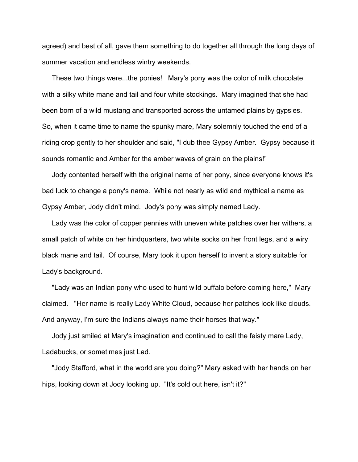agreed) and best of all, gave them something to do together all through the long days of summer vacation and endless wintry weekends.

 These two things were...the ponies! Mary's pony was the color of milk chocolate with a silky white mane and tail and four white stockings. Mary imagined that she had been born of a wild mustang and transported across the untamed plains by gypsies.<br>So, when it came time to name the spunky mare, Mary solemnly touched the end of a riding crop gently to her shoulder and said, "I dub thee Gypsy Amber. Gypsy because it sounds romantic and Amber for the amber waves of grain on the plains!"

 Jody contented herself with the original name of her pony, since everyone knows it's bad luck to change a pony's name. While not nearly as wild and mythical a name as Gypsy Amber, Jody didn't mind. Jody's pony was simply named Lady.

 Lady was the color of copper pennies with uneven white patches over her withers, a small patch of white on her hindquarters, two white socks on her front legs, and a wiry black mane and tail. Of course, Mary took it upon herself to invent a story suitable for Lady's background.

 "Lady was an Indian pony who used to hunt wild buffalo before coming here," Mary claimed. "Her name is really Lady White Cloud, because her patches look like clouds.<br>And anyway, I'm sure the Indians always name their horses that way."

Jody just smiled at Mary's imagination and continued to call the feisty mare Lady, Ladabucks, or sometimes just Lad.

 "Jody Stafford, what in the world are you doing?" Mary asked with her hands on her hips, looking down at Jody looking up. "It's cold out here, isn't it?"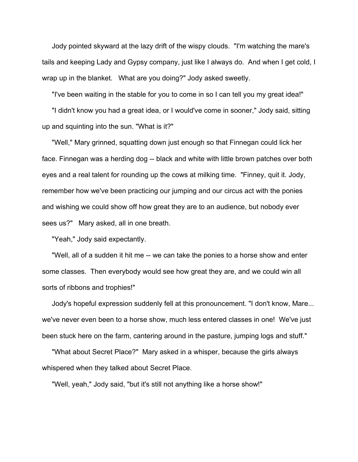Jody pointed skyward at the lazy drift of the wispy clouds. "I'm watching the mare's tails and keeping Lady and Gypsy company, just like I always do. And when I get cold, I wrap up in the blanket. What are you doing?" Jody asked sweetly.

"I've been waiting in the stable for you to come in so I can tell you my great idea!"

 "I didn't know you had a great idea, or I would've come in sooner," Jody said, sitting up and squinting into the sun. "What is it?"

 "Well," Mary grinned, squatting down just enough so that Finnegan could lick her face. Finnegan was a herding dog -- black and white with little brown patches over both eyes and a real talent for rounding up the cows at milking time. "Finney, quit it. Jody,<br>remember how we've been practicing our jumping and our circus act with the ponies and wishing we could show off how great they are to an audience, but nobody ever sees us?" Mary asked, all in one breath.

"Yeah," Jody said expectantly.

 "Well, all of a sudden it hit me -- we can take the ponies to a horse show and enter some classes. Then everybody would see how great they are, and we could win all sorts of ribbons and trophies!"

 Jody's hopeful expression suddenly fell at this pronouncement. "I don't know, Mare... we've never even been to a horse show, much less entered classes in one! We've just been stuck here on the farm, cantering around in the pasture, jumping logs and stuff."

 "What about Secret Place?" Mary asked in a whisper, because the girls always whispered when they talked about Secret Place.

"Well, yeah," Jody said, "but it's still not anything like a horse show!"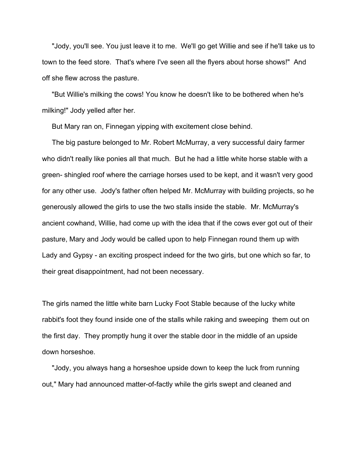"Jody, you'll see. You just leave it to me. We'll go get Willie and see if he'll take us to town to the feed store. That's where I've seen all the flyers about horse shows!" And off she flew across the pasture.

 "But Willie's milking the cows! You know he doesn't like to be bothered when he's milking!" Jody yelled after her.

But Mary ran on, Finnegan yipping with excitement close behind.

 The big pasture belonged to Mr. Robert McMurray, a very successful dairy farmer who didn't really like ponies all that much. But he had a little white horse stable with a green- shingled roof where the carriage horses used to be kept, and it wasn't very good for any other use. Jody's father often helped Mr. McMurray with building projects, so he generously allowed the girls to use the two stalls inside the stable. Mr. McMurray's ancient cowhand, Willie, had come up with the idea that if the cows ever got out of their pasture, Mary and Jody would be called upon to help Finnegan round them up with Lady and Gypsy - an exciting prospect indeed for the two girls, but one which so far, to their great disappointment, had not been necessary.<br>The girls named the little white barn Lucky Foot Stable because of the lucky white

rabbit's foot they found inside one of the stalls while raking and sweeping them out on the first day. They promptly hung it over the stable door in the middle of an upside down horseshoe.

 "Jody, you always hang a horseshoe upside down to keep the luck from running out," Mary had announced matter-of-factly while the girls swept and cleaned and